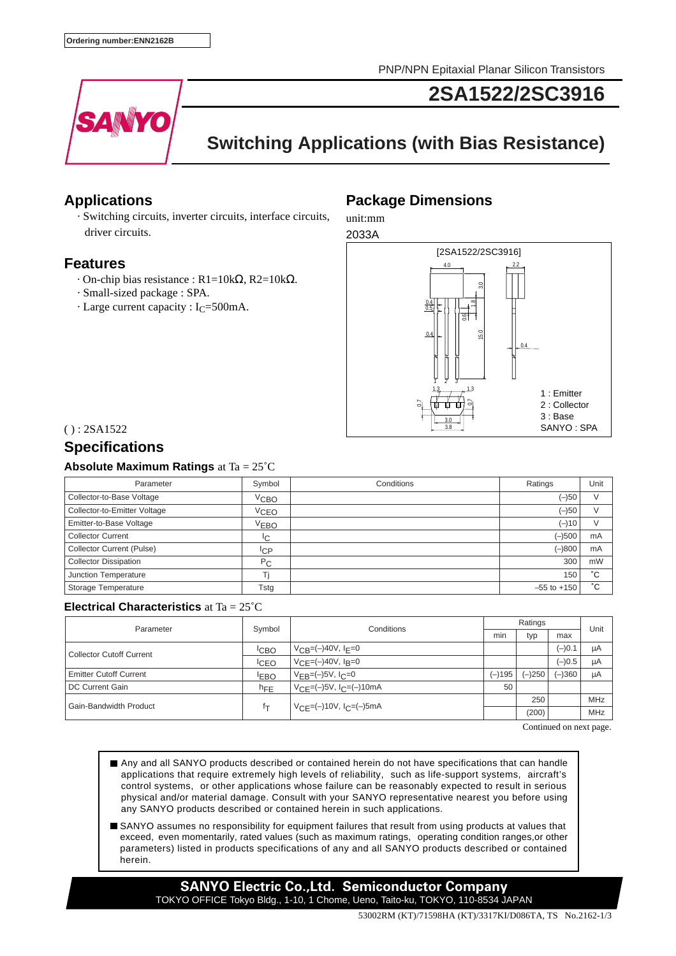PNP/NPN Epitaxial Planar Silicon Transistors



**2SA1522/2SC3916**

# **Switching Applications (with Bias Resistance)**

### **Applications**

 · Switching circuits, inverter circuits, interface circuits, driver circuits.

### **Features**

- · On-chip bias resistance : R1=10kΩ, R2=10kΩ.
- · Small-sized package : SPA.
- $\cdot$  Large current capacity : I<sub>C</sub>=500mA.

### **Package Dimensions**

unit:mm



 $() : 2SA1522$ 

## **Specifications**

### **Absolute Maximum Ratings** at Ta = 25˚C

| Parameter                        | Symbol           | Conditions | Ratings         | Unit   |
|----------------------------------|------------------|------------|-----------------|--------|
| Collector-to-Base Voltage        | $V$ сво          |            | $(-)50$         | V      |
| Collector-to-Emitter Voltage     | VCEO             |            | (–)50           | $\vee$ |
| Emitter-to-Base Voltage          | V <sub>EBO</sub> |            | $(-)10$         | $\vee$ |
| <b>Collector Current</b>         | <sup>I</sup> C   |            | $(-)500$        | mA     |
| <b>Collector Current (Pulse)</b> | <sup>I</sup> CP  |            | $(-)800$        | mA     |
| <b>Collector Dissipation</b>     | $P_{C}$          |            | 300             | mW     |
| Junction Temperature             | Τi               |            | 150             | °С     |
| Storage Temperature              | Tstg             |            | $-55$ to $+150$ | °С     |

#### **Electrical Characteristics** at Ta = 25˚C

| Parameter                       | Symbol           | Conditions                                     | Ratings  |          |          | Unit |
|---------------------------------|------------------|------------------------------------------------|----------|----------|----------|------|
|                                 |                  |                                                | min      | typ      | max      |      |
| <b>Collector Cutoff Current</b> | <sup>I</sup> CBO | $V_{CB} = (-)40V, I_F = 0$                     |          |          | $(-)0.1$ | μA   |
|                                 | <sup>I</sup> CEO | $V_{\text{CF}} = (-)40V, I_{\text{B}} = 0$     |          |          | $(-)0.5$ | μA   |
| <b>Emitter Cutoff Current</b>   | <b>EBO</b>       | $V_{FB}=(-)5V, I_C=0$                          | $(-)195$ | $(-)250$ | $(-)360$ | μA   |
| DC Current Gain                 | $h_{FE}$         | $V_{CE} = (-)5V$ , $I_C = (-)10mA$             | 50       |          |          |      |
| Gain-Bandwidth Product          | İΤ               | $V_{\text{CF}} = (-10V, I_{\text{C}} = (-500)$ |          | 250      |          | MHz  |
|                                 |                  |                                                |          | (200)    |          | MHz  |

Continued on next page.

- Any and all SANYO products described or contained herein do not have specifications that can handle applications that require extremely high levels of reliability, such as life-support systems, aircraft's control systems, or other applications whose failure can be reasonably expected to result in serious physical and/or material damage. Consult with your SANYO representative nearest you before using any SANYO products described or contained herein in such applications.
- SANYO assumes no responsibility for equipment failures that result from using products at values that exceed, even momentarily, rated values (such as maximum ratings, operating condition ranges,or other parameters) listed in products specifications of any and all SANYO products described or contained herein.

**SANYO Electric Co.,Ltd. Semiconductor Company** TOKYO OFFICE Tokyo Bldg., 1-10, 1 Chome, Ueno, Taito-ku, TOKYO, 110-8534 JAPAN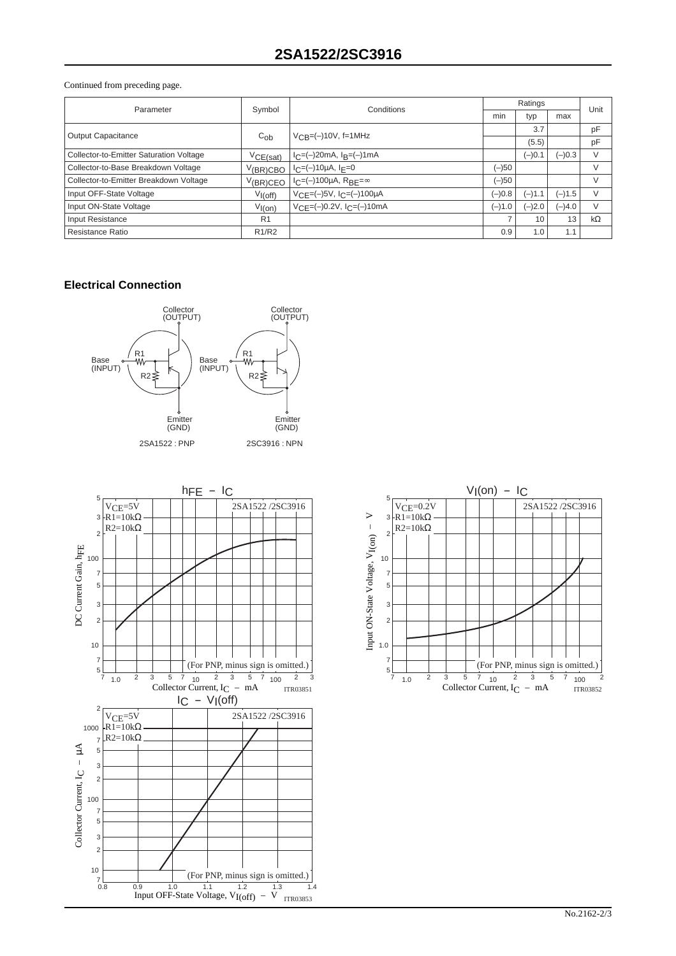#### Continued from preceding page.

| Parameter                               | Symbol                         | Conditions                                       | Ratings  |          |          | Unit      |
|-----------------------------------------|--------------------------------|--------------------------------------------------|----------|----------|----------|-----------|
|                                         |                                |                                                  | min      | typ      | max      |           |
| <b>Output Capacitance</b>               | $C_{ob}$                       | $V_{CB} = (-10V, f = 1MHz)$                      |          | 3.7      |          | pF        |
|                                         |                                |                                                  |          | (5.5)    |          | pF        |
| Collector-to-Emitter Saturation Voltage | VCE(sat)                       | $I_C=(-)20mA$ , $I_B=(-)1mA$                     |          | $(-)0.1$ | $(-)0.3$ | V         |
| Collector-to-Base Breakdown Voltage     | V(BR)CBO                       | $I_C = (-10\mu A, I_F = 0$                       | (–)50    |          |          | V         |
| Collector-to-Emitter Breakdown Voltage  | $V$ (BR)CEO                    | $I_C = (-100\mu A, R_{BF} = \infty$              | (–)50    |          |          | V         |
| Input OFF-State Voltage                 | $V_{I(off)}$                   | $V_{CE} = (-)5V$ , $I_C = (-)100\mu A$           | $(-)0.8$ | $(-)1.1$ | $(-)1.5$ | V         |
| Input ON-State Voltage                  | $V_{I(0n)}$                    | $V_{\text{CF}} = (-0.2V, I_{\text{C}} = (-1000)$ | $(-)1.0$ | $(-)2.0$ | $(-)4.0$ | V         |
| Input Resistance                        | R <sub>1</sub>                 |                                                  |          | 10       | 13       | $k\Omega$ |
| Resistance Ratio                        | R <sub>1</sub> /R <sub>2</sub> |                                                  | 0.9      | 1.0      | 1.1      |           |

#### **Electrical Connection**